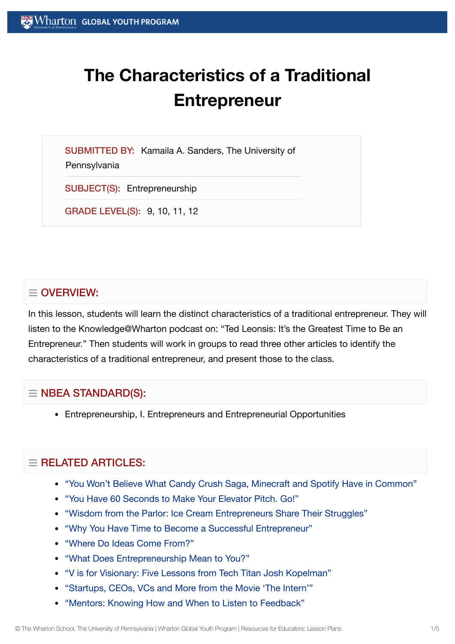# **The Characteristics of a Traditional Entrepreneur**

SUBMITTED BY: Kamaila A. Sanders, The University of

**Pennsylvania** 

SUBJECT(S): Entrepreneurship

GRADE LEVEL(S): 9, 10, 11, 12

# $\equiv$  OVERVIEW:

In this lesson, students will learn the distinct characteristics of a traditional entrepreneur. They will listen to the Knowledge@Wharton podcast on: "Ted Leonsis: It's the Greatest Time to Be an Entrepreneur." Then students will work in groups to read three other articles to identify the characteristics of a traditional entrepreneur, and present those to the class.

# $\equiv$  NBEA STANDARD(S):

Entrepreneurship, I. Entrepreneurs and Entrepreneurial Opportunities

# $=$  RELATED ARTICLES:

- "You Won't Believe What [Candy Crush](https://globalyouth.wharton.upenn.edu/articles/you-wont-believe-what-candy-crush-saga-minecraft-and-spotify-have-in-common/) Saga, Minecraft and Spotify Have in Common"
- "You Have 60 [Seconds to](https://globalyouth.wharton.upenn.edu/articles/60-second-elevator-pitch/) Make Your Elevator Pitch. Go!"
- "Wisdom from the Parlor: Ice Cream [Entrepreneurs Share](https://globalyouth.wharton.upenn.edu/articles/wisdom-from-the-parlor-ice-cream-entrepreneurs-share-their-struggles/) Their Struggles"
- "Why You Have Time to Become a Successful [Entrepreneur"](https://globalyouth.wharton.upenn.edu/articles/time-become-successful-entrepreneur/)
- "Where Do [Ideas Come](https://globalyouth.wharton.upenn.edu/articles/where-do-ideas-come-from/) From?"
- "What [Does Entrepreneurship](https://globalyouth.wharton.upenn.edu/articles/entrepreneurship-means-to-you/) Mean to You?"
- "V is for Visionary: Five [Lessons from](https://globalyouth.wharton.upenn.edu/articles/v-is-for-visionary-five-lessons-from-tech-titan-josh-kopelman/) Tech Titan Josh Kopelman"
- ["Startups,](https://globalyouth.wharton.upenn.edu/articles/what-the-movie-the-intern-teaches-us-about-business/) CEOs, VCs and More from the Movie 'The Intern'"
- "Mentors: Knowing How and When to Listen to [Feedback"](https://globalyouth.wharton.upenn.edu/articles/mentors-knowing-listen-feedback-advice/)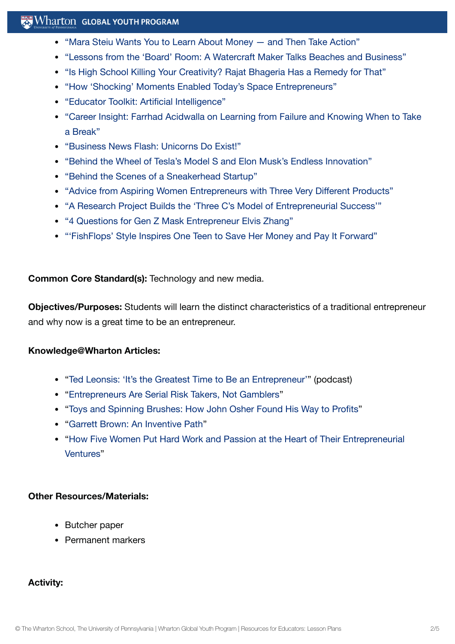# $\mathbb{R}$  Wharton Global Youth Program

- "Mara Steiu Wants You to Learn About [Money and](https://globalyouth.wharton.upenn.edu/articles/learn_about_money/) Then Take Action"
- "Lessons from the 'Board' Room: A Watercraft Maker [Talks Beaches and](https://globalyouth.wharton.upenn.edu/articles/lessons-from-the-board-room-a-watercraft-maker-talks-beaches-and-business/) Business"
- "Is High School Killing Your Creativity? Rajat Bhageria Has a [Remedy for](https://globalyouth.wharton.upenn.edu/articles/is-your-high-school-killing-creativity/) That"
- "How 'Shocking' [Moments Enabled](https://globalyouth.wharton.upenn.edu/articles/shocking-moments-enabled-todays-entrepreneurs/) Today's Space Entrepreneurs"
- "Educator Toolkit: Artificial [Intelligence"](https://globalyouth.wharton.upenn.edu/articles/february-2018-educator-toolkit-artificial-intelligence/)
- "Career Insight: Farrhad [Acidwalla](https://globalyouth.wharton.upenn.edu/articles/career-insight-farrhad-acidwalla-learning-failure-knowing-take-break/) on Learning from Failure and Knowing When to Take a Break"
- ["Business News Flash:](https://globalyouth.wharton.upenn.edu/articles/business-news-flash-unicorns-exist/) Unicorns Do Exist!"
- "Behind the Wheel of Tesla's Model S and Elon [Musk's Endless Innovation"](https://globalyouth.wharton.upenn.edu/articles/behind-wheel-teslas-model-s-elon-musks-endless-innovation/)
- "Behind the Scenes of a [Sneakerhead](https://globalyouth.wharton.upenn.edu/articles/behind-scenes-sneakerhead-startup/) Startup"
- "Advice from Aspiring Women [Entrepreneurs with](https://globalyouth.wharton.upenn.edu/articles/advice-aspiring-women-entrepreneurs/) Three Very Different Products"
- "A Research Project Builds the 'Three C's Model of [Entrepreneurial](https://globalyouth.wharton.upenn.edu/articles/three-cs-model-entrepreneurial-success/) Success'"
- "4 [Questions for](https://globalyouth.wharton.upenn.edu/articles/4-questions-mask-entrepreneur-elvis-zhang/) Gen Z Mask Entrepreneur Elvis Zhang"
- "'FishFlops' Style [Inspires One](https://globalyouth.wharton.upenn.edu/articles/fishflops-style-inspires-one-teen-to-save-her-money-and-pay-it-forward/) Teen to Save Her Money and Pay It Forward"

**Common Core Standard(s):** Technology and new media.

**Objectives/Purposes:** Students will learn the distinct characteristics of a traditional entrepreneur and why now is a great time to be an entrepreneur.

#### **Knowledge@Wharton Articles:**

- "Ted Leonsis: 'It's the Greatest Time to Be an [Entrepreneur'](http://knowledge.wharton.upenn.edu/article.cfm?articleid=1849)" (podcast)
- ["Entrepreneurs Are](http://knowledge.wharton.upenn.edu/10000women/article.cfm?articleid=6033) Serial Risk Takers, Not Gamblers"
- "Toys and Spinning Brushes: How John Osher Found [His Way to](http://knowledge.wharton.upenn.edu/article.cfm?articleid=870) Profits"
- "Garrett Brown: An [Inventive](http://knowledge.wharton.upenn.edu/article.cfm?articleid=1353) Path"
- "How Five Women Put Hard Work and Passion at the Heart of Their [Entrepreneurial](http://knowledge.wharton.upenn.edu/article.cfm?articleid=2637) Ventures"

#### **Other Resources/Materials:**

- Butcher paper
- Permanent markers

#### **Activity:**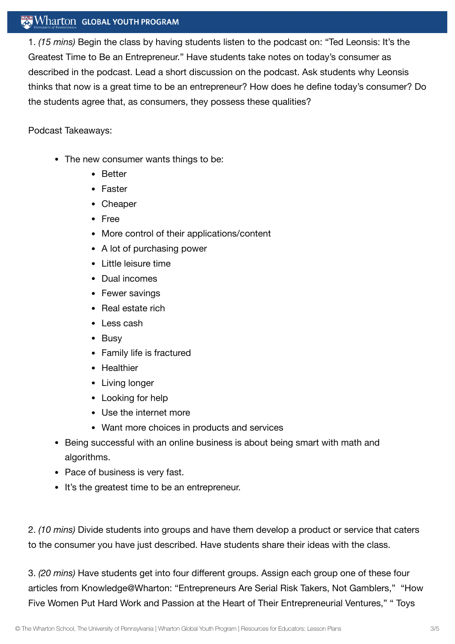## $\mathbb{R}$  Wharton Global Youth Program

1. *(15 mins)* Begin the class by having students listen to the podcast on: "Ted Leonsis: It's the Greatest Time to Be an Entrepreneur." Have students take notes on today's consumer as described in the podcast. Lead a short discussion on the podcast. Ask students why Leonsis thinks that now is a great time to be an entrepreneur? How does he define today's consumer? Do the students agree that, as consumers, they possess these qualities?

Podcast Takeaways:

- The new consumer wants things to be:
	- Better
	- Faster
	- Cheaper
	- Free
	- More control of their applications/content
	- A lot of purchasing power
	- Little leisure time
	- Dual incomes
	- Fewer savings
	- Real estate rich
	- Less cash
	- Busy
	- Family life is fractured
	- Healthier
	- Living longer
	- Looking for help
	- Use the internet more
	- Want more choices in products and services
- Being successful with an online business is about being smart with math and algorithms.
- Pace of business is very fast.
- It's the greatest time to be an entrepreneur.

2. *(10 mins)* Divide students into groups and have them develop a product or service that caters to the consumer you have just described. Have students share their ideas with the class.

3. *(20 mins)* Have students get into four different groups. Assign each group one of these four articles from Knowledge@Wharton: "Entrepreneurs Are Serial Risk Takers, Not Gamblers," "How Five Women Put Hard Work and Passion at the Heart of Their Entrepreneurial Ventures," " Toys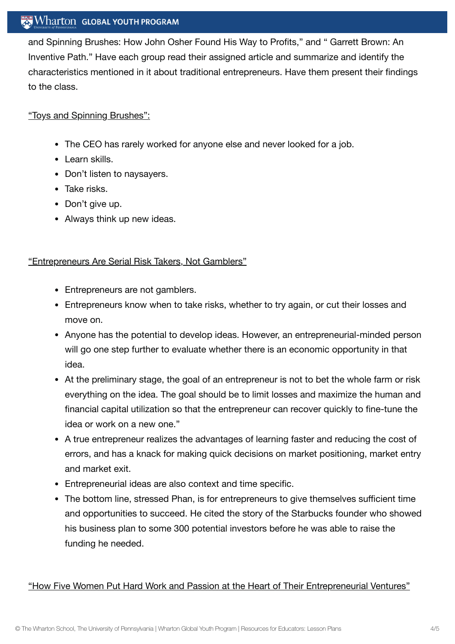# $\mathbb{R}$  Wharton Global Youth Program

and Spinning Brushes: How John Osher Found His Way to Profits," and " Garrett Brown: An Inventive Path." Have each group read their assigned article and summarize and identify the characteristics mentioned in it about traditional entrepreneurs. Have them present their findings to the class.

## "Toys and Spinning Brushes":

- The CEO has rarely worked for anyone else and never looked for a job.
- $\cdot$  Learn skills.
- Don't listen to naysayers.
- Take risks.
- Don't give up.
- Always think up new ideas.

## "Entrepreneurs Are Serial Risk Takers, Not Gamblers"

- Entrepreneurs are not gamblers.
- Entrepreneurs know when to take risks, whether to try again, or cut their losses and move on.
- Anyone has the potential to develop ideas. However, an entrepreneurial-minded person will go one step further to evaluate whether there is an economic opportunity in that idea.
- At the preliminary stage, the goal of an entrepreneur is not to bet the whole farm or risk everything on the idea. The goal should be to limit losses and maximize the human and financial capital utilization so that the entrepreneur can recover quickly to fine-tune the idea or work on a new one."
- A true entrepreneur realizes the advantages of learning faster and reducing the cost of errors, and has a knack for making quick decisions on market positioning, market entry and market exit.
- Entrepreneurial ideas are also context and time specific.
- The bottom line, stressed Phan, is for entrepreneurs to give themselves sufficient time and opportunities to succeed. He cited the story of the Starbucks founder who showed his business plan to some 300 potential investors before he was able to raise the funding he needed.

#### "How Five Women Put Hard Work and Passion at the Heart of Their Entrepreneurial Ventures"